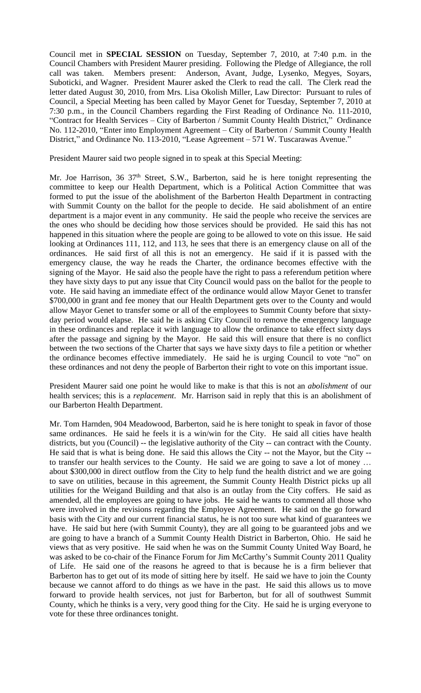Council met in **SPECIAL SESSION** on Tuesday, September 7, 2010, at 7:40 p.m. in the Council Chambers with President Maurer presiding. Following the Pledge of Allegiance, the roll call was taken. Members present: Anderson, Avant, Judge, Lysenko, Megyes, Soyars, Suboticki, and Wagner. President Maurer asked the Clerk to read the call. The Clerk read the letter dated August 30, 2010, from Mrs. Lisa Okolish Miller, Law Director: Pursuant to rules of Council, a Special Meeting has been called by Mayor Genet for Tuesday, September 7, 2010 at 7:30 p.m., in the Council Chambers regarding the First Reading of Ordinance No. 111-2010, "Contract for Health Services – City of Barberton / Summit County Health District," Ordinance No. 112-2010, "Enter into Employment Agreement – City of Barberton / Summit County Health District," and Ordinance No. 113-2010, "Lease Agreement – 571 W. Tuscarawas Avenue."

President Maurer said two people signed in to speak at this Special Meeting:

Mr. Joe Harrison, 36 37<sup>th</sup> Street, S.W., Barberton, said he is here tonight representing the committee to keep our Health Department, which is a Political Action Committee that was formed to put the issue of the abolishment of the Barberton Health Department in contracting with Summit County on the ballot for the people to decide. He said abolishment of an entire department is a major event in any community. He said the people who receive the services are the ones who should be deciding how those services should be provided. He said this has not happened in this situation where the people are going to be allowed to vote on this issue. He said looking at Ordinances 111, 112, and 113, he sees that there is an emergency clause on all of the ordinances. He said first of all this is not an emergency. He said if it is passed with the emergency clause, the way he reads the Charter, the ordinance becomes effective with the signing of the Mayor. He said also the people have the right to pass a referendum petition where they have sixty days to put any issue that City Council would pass on the ballot for the people to vote. He said having an immediate effect of the ordinance would allow Mayor Genet to transfer \$700,000 in grant and fee money that our Health Department gets over to the County and would allow Mayor Genet to transfer some or all of the employees to Summit County before that sixtyday period would elapse. He said he is asking City Council to remove the emergency language in these ordinances and replace it with language to allow the ordinance to take effect sixty days after the passage and signing by the Mayor. He said this will ensure that there is no conflict between the two sections of the Charter that says we have sixty days to file a petition or whether the ordinance becomes effective immediately. He said he is urging Council to vote "no" on these ordinances and not deny the people of Barberton their right to vote on this important issue.

President Maurer said one point he would like to make is that this is not an *abolishment* of our health services; this is a *replacement*. Mr. Harrison said in reply that this is an abolishment of our Barberton Health Department.

Mr. Tom Harnden, 904 Meadowood, Barberton, said he is here tonight to speak in favor of those same ordinances. He said he feels it is a win/win for the City. He said all cities have health districts, but you (Council) -- the legislative authority of the City -- can contract with the County. He said that is what is being done. He said this allows the City -- not the Mayor, but the City - to transfer our health services to the County. He said we are going to save a lot of money … about \$300,000 in direct outflow from the City to help fund the health district and we are going to save on utilities, because in this agreement, the Summit County Health District picks up all utilities for the Weigand Building and that also is an outlay from the City coffers. He said as amended, all the employees are going to have jobs. He said he wants to commend all those who were involved in the revisions regarding the Employee Agreement. He said on the go forward basis with the City and our current financial status, he is not too sure what kind of guarantees we have. He said but here (with Summit County), they are all going to be guaranteed jobs and we are going to have a branch of a Summit County Health District in Barberton, Ohio. He said he views that as very positive. He said when he was on the Summit County United Way Board, he was asked to be co-chair of the Finance Forum for Jim McCarthy's Summit County 2011 Quality of Life. He said one of the reasons he agreed to that is because he is a firm believer that Barberton has to get out of its mode of sitting here by itself. He said we have to join the County because we cannot afford to do things as we have in the past. He said this allows us to move forward to provide health services, not just for Barberton, but for all of southwest Summit County, which he thinks is a very, very good thing for the City. He said he is urging everyone to vote for these three ordinances tonight.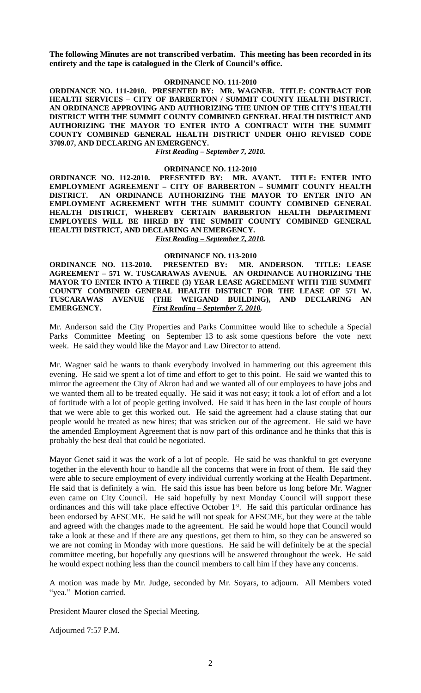**The following Minutes are not transcribed verbatim. This meeting has been recorded in its entirety and the tape is catalogued in the Clerk of Council's office.**

## **ORDINANCE NO. 111-2010**

**ORDINANCE NO. 111-2010. PRESENTED BY: MR. WAGNER. TITLE: CONTRACT FOR HEALTH SERVICES – CITY OF BARBERTON / SUMMIT COUNTY HEALTH DISTRICT. AN ORDINANCE APPROVING AND AUTHORIZING THE UNION OF THE CITY'S HEALTH DISTRICT WITH THE SUMMIT COUNTY COMBINED GENERAL HEALTH DISTRICT AND AUTHORIZING THE MAYOR TO ENTER INTO A CONTRACT WITH THE SUMMIT COUNTY COMBINED GENERAL HEALTH DISTRICT UNDER OHIO REVISED CODE 3709.07, AND DECLARING AN EMERGENCY.**

## *First Reading – September 7, 2010.*

## **ORDINANCE NO. 112-2010**

**ORDINANCE NO. 112-2010. PRESENTED BY: MR. AVANT. TITLE: ENTER INTO EMPLOYMENT AGREEMENT – CITY OF BARBERTON – SUMMIT COUNTY HEALTH DISTRICT. AN ORDINANCE AUTHORIZING THE MAYOR TO ENTER INTO AN EMPLOYMENT AGREEMENT WITH THE SUMMIT COUNTY COMBINED GENERAL HEALTH DISTRICT, WHEREBY CERTAIN BARBERTON HEALTH DEPARTMENT EMPLOYEES WILL BE HIRED BY THE SUMMIT COUNTY COMBINED GENERAL HEALTH DISTRICT, AND DECLARING AN EMERGENCY.**

*First Reading – September 7, 2010.*

## **ORDINANCE NO. 113-2010**

**ORDINANCE NO. 113-2010. PRESENTED BY: MR. ANDERSON. TITLE: LEASE AGREEMENT – 571 W. TUSCARAWAS AVENUE. AN ORDINANCE AUTHORIZING THE MAYOR TO ENTER INTO A THREE (3) YEAR LEASE AGREEMENT WITH THE SUMMIT COUNTY COMBINED GENERAL HEALTH DISTRICT FOR THE LEASE OF 571 W. TUSCARAWAS AVENUE (THE WEIGAND BUILDING), AND DECLARING AN EMERGENCY.** *First Reading – September 7, 2010.*

Mr. Anderson said the City Properties and Parks Committee would like to schedule a Special Parks Committee Meeting on September 13 to ask some questions before the vote next week. He said they would like the Mayor and Law Director to attend.

Mr. Wagner said he wants to thank everybody involved in hammering out this agreement this evening. He said we spent a lot of time and effort to get to this point. He said we wanted this to mirror the agreement the City of Akron had and we wanted all of our employees to have jobs and we wanted them all to be treated equally. He said it was not easy; it took a lot of effort and a lot of fortitude with a lot of people getting involved. He said it has been in the last couple of hours that we were able to get this worked out. He said the agreement had a clause stating that our people would be treated as new hires; that was stricken out of the agreement. He said we have the amended Employment Agreement that is now part of this ordinance and he thinks that this is probably the best deal that could be negotiated.

Mayor Genet said it was the work of a lot of people. He said he was thankful to get everyone together in the eleventh hour to handle all the concerns that were in front of them. He said they were able to secure employment of every individual currently working at the Health Department. He said that is definitely a win. He said this issue has been before us long before Mr. Wagner even came on City Council. He said hopefully by next Monday Council will support these ordinances and this will take place effective October 1<sup>st</sup>. He said this particular ordinance has been endorsed by AFSCME. He said he will not speak for AFSCME, but they were at the table and agreed with the changes made to the agreement. He said he would hope that Council would take a look at these and if there are any questions, get them to him, so they can be answered so we are not coming in Monday with more questions. He said he will definitely be at the special committee meeting, but hopefully any questions will be answered throughout the week. He said he would expect nothing less than the council members to call him if they have any concerns.

A motion was made by Mr. Judge, seconded by Mr. Soyars, to adjourn. All Members voted "yea." Motion carried.

President Maurer closed the Special Meeting.

Adjourned 7:57 P.M.